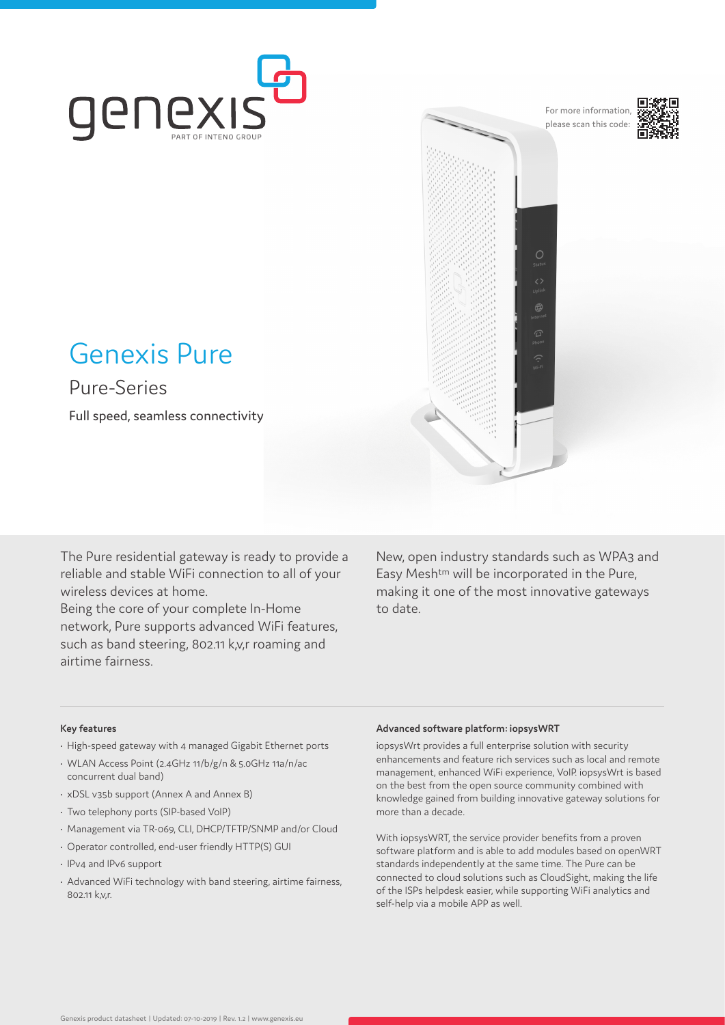

For more information, please scan this code:

 $\circ$ 



## Genexis Pure

Pure-Series

Full speed, seamless connectivity

The Pure residential gateway is ready to provide a reliable and stable WiFi connection to all of your wireless devices at home.

Being the core of your complete In-Home network, Pure supports advanced WiFi features, such as band steering, 802.11 k,v,r roaming and airtime fairness.

New, open industry standards such as WPA3 and Easy Mesh<sup>tm</sup> will be incorporated in the Pure, making it one of the most innovative gateways to date.

#### **Key features**

- High-speed gateway with 4 managed Gigabit Ethernet ports
- WLAN Access Point (2.4GHz 11/b/g/n & 5.0GHz 11a/n/ac concurrent dual band)
- xDSL v35b support (Annex A and Annex B)
- Two telephony ports (SIP-based VoIP)
- Management via TR-069, CLI, DHCP/TFTP/SNMP and/or Cloud
- Operator controlled, end-user friendly HTTP(S) GUI
- IPv4 and IPv6 support
- Advanced WiFi technology with band steering, airtime fairness, 802.11 k,v,r.

#### **Advanced software platform: iopsysWRT**

iopsysWrt provides a full enterprise solution with security enhancements and feature rich services such as local and remote management, enhanced WiFi experience, VoIP. iopsysWrt is based on the best from the open source community combined with knowledge gained from building innovative gateway solutions for more than a decade.

With iopsysWRT, the service provider benefits from a proven software platform and is able to add modules based on openWRT standards independently at the same time. The Pure can be connected to cloud solutions such as CloudSight, making the life of the ISPs helpdesk easier, while supporting WiFi analytics and self-help via a mobile APP as well.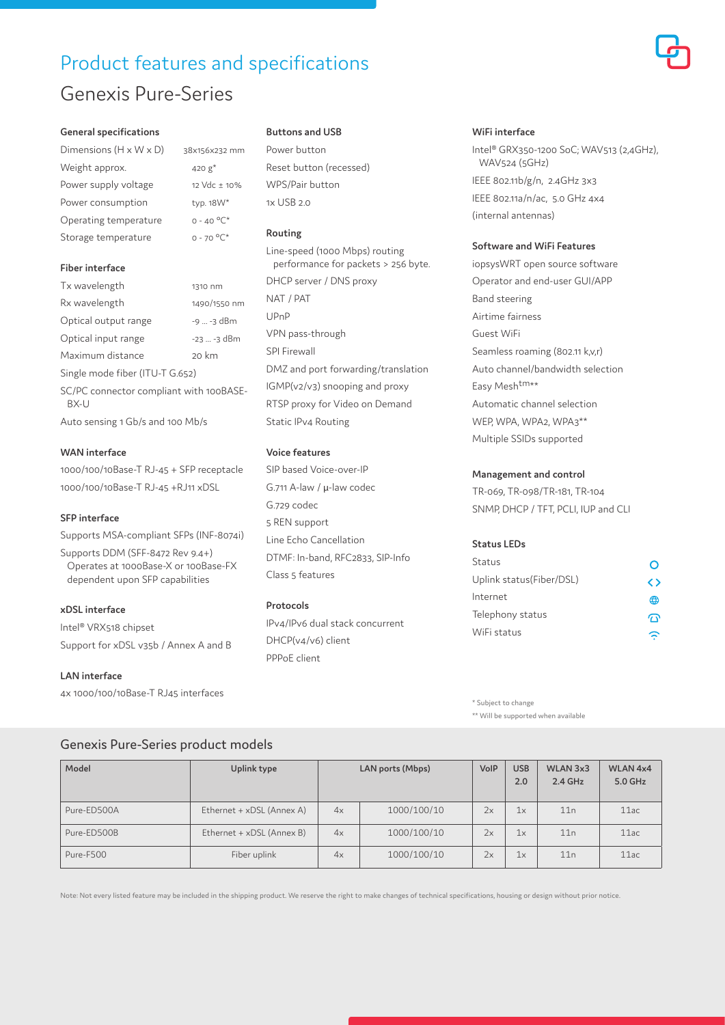## Product features and specifications Genexis Pure-Series

8x156x232 mm 420  $g^*$ 12  $Vdc \pm 10%$ typ.  $18W^*$  $0 - 40 °C^*$  $0 - 70 °C^*$ 

#### **General specifications**

| Dimensions $(H \times W \times D)$ | 3 |
|------------------------------------|---|
| Weight approx.                     |   |
| Power supply voltage               |   |
| Power consumption                  |   |
| Operating temperature              |   |
| Storage temperature                |   |

#### **Fiber interface**

| Tx wavelength                                                        | 1310 nm      |  |  |  |
|----------------------------------------------------------------------|--------------|--|--|--|
| Rx wavelength                                                        | 1490/1550 nm |  |  |  |
| Optical output range                                                 | -9  -3 dBm   |  |  |  |
| Optical input range                                                  | -23  -3 dBm  |  |  |  |
| Maximum distance                                                     | 20 km        |  |  |  |
| Single mode fiber (ITU-T G.652)                                      |              |  |  |  |
| SC/PC connector compliant with 100BASE-<br>BX-U                      |              |  |  |  |
| $\Lambda_{11}$ to concinct $\Lambda_{21}$ chicand 100 $\Lambda_{12}$ |              |  |  |  |

Auto sensing 1 Gb/s and 100 Mb/s

#### **WAN interface**

1000/100/10Base-T RJ-45 + SFP receptacle 1000/100/10Base-T RJ-45 +RJ11 xDSL

#### **SFP interface**

Supports MSA-compliant SFPs (INF-8074i)

Supports DDM (SFF-8472 Rev 9.4+) Operates at 1000Base-X or 100Base-FX dependent upon SFP capabilities

### **xDSL interface**

Intel® VRX518 chipset Support for xDSL v35b / Annex A and B

#### **LAN interface**

4x 1000/100/10Base-T RJ45 interfaces

#### **Buttons and USB**

Power button Reset button (recessed) WPS/Pair button 1x USB 2.0

#### **Routing**

Line-speed (1000 Mbps) routing performance for packets > 256 byte. DHCP server / DNS proxy NAT / PAT UPnP VPN pass-through SPI Firewall DMZ and port forwarding/translation IGMP(v2/v3) snooping and proxy RTSP proxy for Video on Demand Static IPv4 Routing

#### **Voice features**

SIP based Voice-over-IP G.711 A-law / μ-law codec G.729 codec 5 REN support Line Echo Cancellation DTMF: In-band, RFC2833, SIP-Info Class 5 features

#### **Protocols**

IPv4/IPv6 dual stack concurrent DHCP(v4/v6) client PPPoE client

#### **WiFi interface**

Intel® GRX350-1200 SoC; WAV513 (2,4GHz), WAV524 (5GHz) IEEE 802.11b/g/n, 2.4GHz 3x3 IEEE 802.11a/n/ac, 5.0 GHz 4x4 (internal antennas)

#### **Software and WiFi Features**

iopsysWRT open source software Operator and end-user GUI/APP Band steering Airtime fairness Guest WiFi Seamless roaming (802.11 k,v,r) Auto channel/bandwidth selection Easy Mesh<sup>tm\*\*</sup> Automatic channel selection WEP, WPA, WPA2, WPA3<sup>\*\*</sup> Multiple SSIDs supported

#### **Management and control**

TR-069, TR-098/TR-181, TR-104 SNMP, DHCP / TFT, PCLI, IUP and CLI

#### **Status LEDs**

| Status                   |     |
|--------------------------|-----|
| Uplink status(Fiber/DSL) | < > |
| Internet                 | ⊕   |
| Telephony status         | ٠Ÿ  |
| WiFi status              |     |

\* Subject to change \*\* Will be supported when available

### Genexis Pure-Series product models

| Model       | Uplink type               | LAN ports (Mbps) |             | VolP | <b>USB</b><br>2.0 | WLAN 3x3<br>$2.4$ GHz | <b>WLAN 4x4</b><br>5.0 GHz |
|-------------|---------------------------|------------------|-------------|------|-------------------|-----------------------|----------------------------|
| Pure-ED500A | Ethernet + xDSL (Annex A) | 4x               | 1000/100/10 | 2x   | 1x                | 11n                   | 11ac                       |
| Pure-ED500B | Ethernet + xDSL (Annex B) | 4x               | 1000/100/10 | 2x   | 1x                | 11n                   | 11ac                       |
| Pure-F500   | Fiber uplink              | 4x               | 1000/100/10 | 2x   | 1x                | 11n                   | 11ac                       |

Note: Not every listed feature may be included in the shipping product. We reserve the right to make changes of technical specifications, housing or design without prior notice.